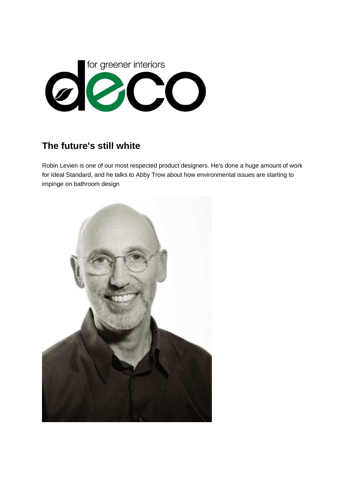

## **The future's still white**

Robin Levien is one of our most respected product designers. He's done a huge amount of work for Ideal Standard, and he talks to Abby Trow about how environmental issues are starting to impinge on bathroom design

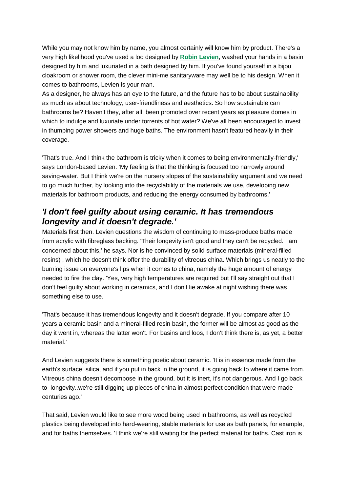While you may not know him by name, you almost certainly will know him by product. There's a very high likelihood you've used a loo designed by **Robin [Levien](http://www.studiolevien.com/)**, washed your hands in a basin designed by him and luxuriated in a bath designed by him. If you've found yourself in a bijou cloakroom or shower room, the clever mini-me sanitaryware may well be to his design. When it comes to bathrooms, Levien is your man.

As a designer, he always has an eye to the future, and the future has to be about sustainability as much as about technology, user-friendliness and aesthetics. So how sustainable can bathrooms be? Haven't they, after all, been promoted over recent years as pleasure domes in which to indulge and luxuriate under torrents of hot water? We've all been encouraged to invest in thumping power showers and huge baths. The environment hasn't featured heavily in their coverage.

'That's true. And I think the bathroom is tricky when it comes to being environmentally-friendly,' says London-based Levien. 'My feeling is that the thinking is focused too narrowly around saving-water. But I think we're on the nursery slopes of the sustainability argument and we need to go much further, by looking into the recyclability of the materials we use, developing new materials for bathroom products, and reducing the energy consumed by bathrooms.'

## *'I don't feel guilty about using ceramic. It has tremendous longevity and it doesn't degrade.'*

Materials first then. Levien questions the wisdom of continuing to mass-produce baths made from acrylic with fibreglass backing. 'Their longevity isn't good and they can't be recycled. I am concerned about this,' he says. Nor is he convinced by solid surface materials (mineral-filled resins) , which he doesn't think offer the durability of vitreous china. Which brings us neatly to the burning issue on everyone's lips when it comes to china, namely the huge amount of energy needed to fire the clay. 'Yes, very high temperatures are required but I'll say straight out that I don't feel guilty about working in ceramics, and I don't lie awake at night wishing there was something else to use.

'That's because it has tremendous longevity and it doesn't degrade. If you compare after 10 years a ceramic basin and a mineral-filled resin basin, the former will be almost as good as the day it went in, whereas the latter won't. For basins and loos, I don't think there is, as yet, a better material.'

And Levien suggests there is something poetic about ceramic. 'It is in essence made from the earth's surface, silica, and if you put in back in the ground, it is going back to where it came from. Vitreous china doesn't decompose in the ground, but it is inert, it's not dangerous. And I go back to longevity..we're still digging up pieces of china in almost perfect condition that were made centuries ago.'

That said, Levien would like to see more wood being used in bathrooms, as well as recycled plastics being developed into hard-wearing, stable materials for use as bath panels, for example, and for baths themselves. 'I think we're still waiting for the perfect material for baths. Cast iron is